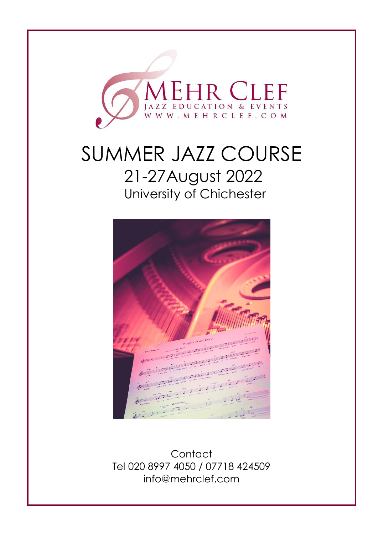

# SUMMER JAZZ COURSE 21-27August 2022 University of Chichester



**Contact** Tel 020 8997 4050 / 07718 424509 info@mehrclef.com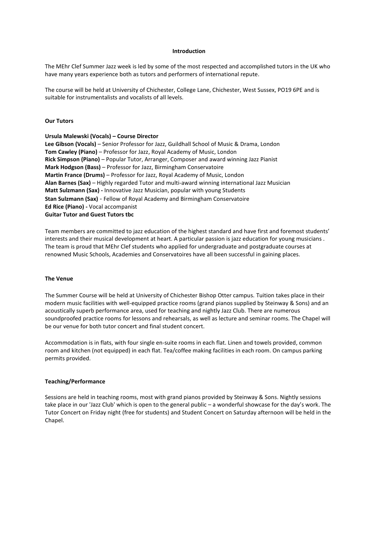# **Introduction**

The MEhr Clef Summer Jazz week is led by some of the most respected and accomplished tutors in the UK who have many years experience both as tutors and performers of international repute.

The course will be held at University of Chichester, College Lane, Chichester, West Sussex, PO19 6PE and is suitable for instrumentalists and vocalists of all levels.

### **Our Tutors**

# **Ursula Malewski (Vocals) – Course Director**

**Lee Gibson (Vocals)** – Senior Professor for Jazz, Guildhall School of Music & Drama, London **Tom Cawley (Piano)** – Professor for Jazz, Royal Academy of Music, London **Rick Simpson (Piano)** – Popular Tutor, Arranger, Composer and award winning Jazz Pianist **Mark Hodgson (Bass)** – Professor for Jazz, Birmingham Conservatoire **Martin France (Drums)** – Professor for Jazz, Royal Academy of Music, London **Alan Barnes (Sax)** – Highly regarded Tutor and multi-award winning international Jazz Musician **Matt Sulzmann (Sax) -** Innovative Jazz Musician, popular with young Students **Stan Sulzmann (Sax)** - Fellow of Royal Academy and Birmingham Conservatoire **Ed Rice (Piano) -** Vocal accompanist **Guitar Tutor and Guest Tutors tbc**

Team members are committed to jazz education of the highest standard and have first and foremost students' interests and their musical development at heart. A particular passion is jazz education for young musicians . The team is proud that MEhr Clef students who applied for undergraduate and postgraduate courses at renowned Music Schools, Academies and Conservatoires have all been successful in gaining places.

#### **The Venue**

The Summer Course will be held at University of Chichester Bishop Otter campus. Tuition takes place in their modern music facilities with well-equipped practice rooms (grand pianos supplied by Steinway & Sons) and an acoustically superb performance area, used for teaching and nightly Jazz Club. There are numerous soundproofed practice rooms for lessons and rehearsals, as well as lecture and seminar rooms. The Chapel will be our venue for both tutor concert and final student concert.

Accommodation is in flats, with four single en-suite rooms in each flat. Linen and towels provided, common room and kitchen (not equipped) in each flat. Tea/coffee making facilities in each room. On campus parking permits provided.

#### **Teaching/Performance**

Sessions are held in teaching rooms, most with grand pianos provided by Steinway & Sons. Nightly sessions take place in our 'Jazz Club' which is open to the general public – a wonderful showcase for the day's work. The Tutor Concert on Friday night (free for students) and Student Concert on Saturday afternoon will be held in the Chapel.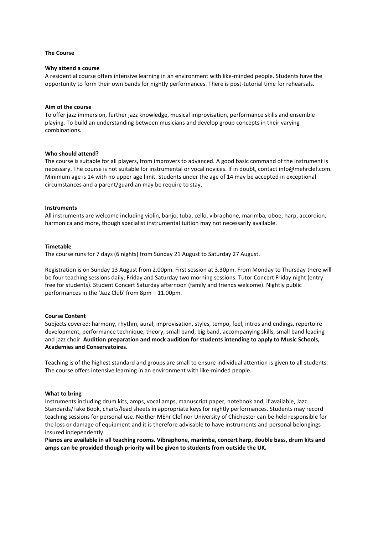#### **The Course**

#### **Why attend a course**

A residential course offers intensive learning in an environment with like-minded people. Students have the opportunity to form their own bands for nightly performances. There is post-tutorial time for rehearsals.

# **Aim of the course**

To offer jazz immersion, further jazz knowledge, musical improvisation, performance skills and ensemble playing. To build an understanding between musicians and develop group concepts in their varying combinations.

#### **Who should attend?**

The course is suitable for all players, from improvers to advanced. A good basic command of the instrument is necessary. The course is not suitable for instrumental or vocal novices. If in doubt, contact info@mehrclef.com. Minimum age is 14 with no upper age limit. Students under the age of 14 may be accepted in exceptional circumstances and a parent/guardian may be require to stay.

#### **Instruments**

All instruments are welcome including violin, banjo, tuba, cello, vibraphone, marimba, oboe, harp, accordion, harmonica and more, though specialist instrumental tuition may not necessarily available.

#### **Timetable**

The course runs for 7 days (6 nights) from Sunday 21 August to Saturday 27 August.

Registration is on Sunday 13 August from 2.00pm. First session at 3.30pm. From Monday to Thursday there will be four teaching sessions daily, Friday and Saturday two morning sessions. Tutor Concert Friday night (entry free for students). Student Concert Saturday afternoon (family and friends welcome). Nightly public performances in the 'Jazz Club' from 8pm – 11.00pm.

## **Course Content**

Subjects covered: harmony, rhythm, aural, improvisation, styles, tempo, feel, intros and endings, repertoire development, performance technique, theory, small band, big band, accompanying skills, small band leading and jazz choir. **Audition preparation and mock audition for students intending to apply to Music Schools, Academies and Conservatoires.**

Teaching is of the highest standard and groups are small to ensure individual attention is given to all students. The course offers intensive learning in an environment with like-minded people.

## **What to bring**

Instruments including drum kits, amps, vocal amps, manuscript paper, notebook and, if available, Jazz Standards/Fake Book, charts/lead sheets in appropriate keys for nightly performances. Students may record teaching sessions for personal use. Neither MEhr Clef nor University of Chichester can be held responsible for the loss or damage of equipment and it is therefore advisable to have instruments and personal belongings insured independently.

**Pianos are available in all teaching rooms. Vibraphone, marimba, concert harp, double bass, drum kits and amps can be provided though priority will be given to students from outside the UK.**